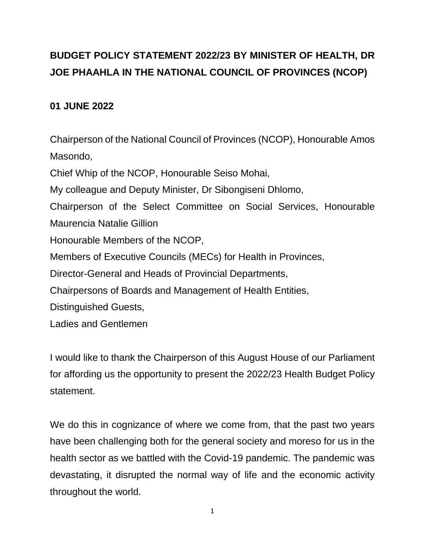# **BUDGET POLICY STATEMENT 2022/23 BY MINISTER OF HEALTH, DR JOE PHAAHLA IN THE NATIONAL COUNCIL OF PROVINCES (NCOP)**

## **01 JUNE 2022**

Chairperson of the National Council of Provinces (NCOP), Honourable Amos Masondo, Chief Whip of the NCOP, Honourable Seiso Mohai, My colleague and Deputy Minister, Dr Sibongiseni Dhlomo, Chairperson of the Select Committee on Social Services, Honourable Maurencia Natalie Gillion Honourable Members of the NCOP, Members of Executive Councils (MECs) for Health in Provinces, Director-General and Heads of Provincial Departments, Chairpersons of Boards and Management of Health Entities, Distinguished Guests, Ladies and Gentlemen

I would like to thank the Chairperson of this August House of our Parliament for affording us the opportunity to present the 2022/23 Health Budget Policy statement.

We do this in cognizance of where we come from, that the past two years have been challenging both for the general society and moreso for us in the health sector as we battled with the Covid-19 pandemic. The pandemic was devastating, it disrupted the normal way of life and the economic activity throughout the world.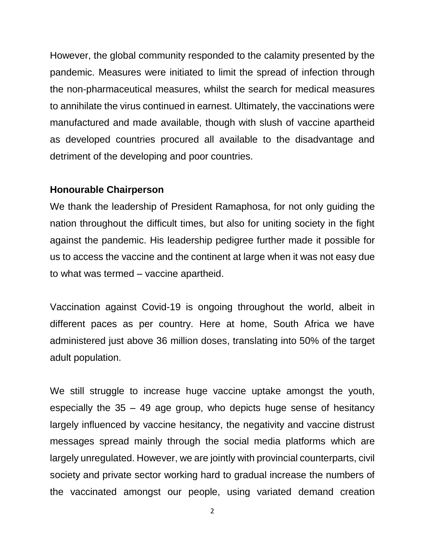However, the global community responded to the calamity presented by the pandemic. Measures were initiated to limit the spread of infection through the non-pharmaceutical measures, whilst the search for medical measures to annihilate the virus continued in earnest. Ultimately, the vaccinations were manufactured and made available, though with slush of vaccine apartheid as developed countries procured all available to the disadvantage and detriment of the developing and poor countries.

#### **Honourable Chairperson**

We thank the leadership of President Ramaphosa, for not only guiding the nation throughout the difficult times, but also for uniting society in the fight against the pandemic. His leadership pedigree further made it possible for us to access the vaccine and the continent at large when it was not easy due to what was termed – vaccine apartheid.

Vaccination against Covid-19 is ongoing throughout the world, albeit in different paces as per country. Here at home, South Africa we have administered just above 36 million doses, translating into 50% of the target adult population.

We still struggle to increase huge vaccine uptake amongst the youth, especially the 35 – 49 age group, who depicts huge sense of hesitancy largely influenced by vaccine hesitancy, the negativity and vaccine distrust messages spread mainly through the social media platforms which are largely unregulated. However, we are jointly with provincial counterparts, civil society and private sector working hard to gradual increase the numbers of the vaccinated amongst our people, using variated demand creation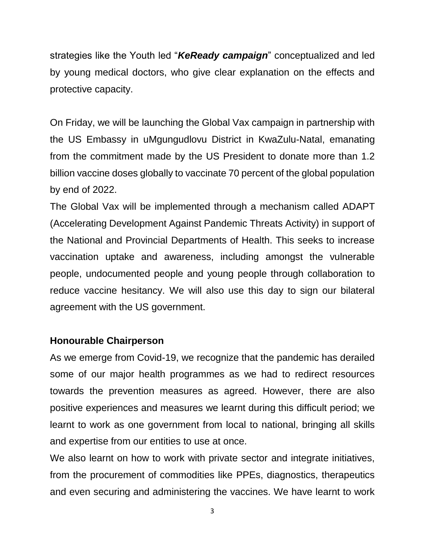strategies like the Youth led "*KeReady campaign*" conceptualized and led by young medical doctors, who give clear explanation on the effects and protective capacity.

On Friday, we will be launching the Global Vax campaign in partnership with the US Embassy in uMgungudlovu District in KwaZulu-Natal, emanating from the commitment made by the US President to donate more than 1.2 billion vaccine doses globally to vaccinate 70 percent of the global population by end of 2022.

The Global Vax will be implemented through a mechanism called ADAPT (Accelerating Development Against Pandemic Threats Activity) in support of the National and Provincial Departments of Health. This seeks to increase vaccination uptake and awareness, including amongst the vulnerable people, undocumented people and young people through collaboration to reduce vaccine hesitancy. We will also use this day to sign our bilateral agreement with the US government.

### **Honourable Chairperson**

As we emerge from Covid-19, we recognize that the pandemic has derailed some of our major health programmes as we had to redirect resources towards the prevention measures as agreed. However, there are also positive experiences and measures we learnt during this difficult period; we learnt to work as one government from local to national, bringing all skills and expertise from our entities to use at once.

We also learnt on how to work with private sector and integrate initiatives, from the procurement of commodities like PPEs, diagnostics, therapeutics and even securing and administering the vaccines. We have learnt to work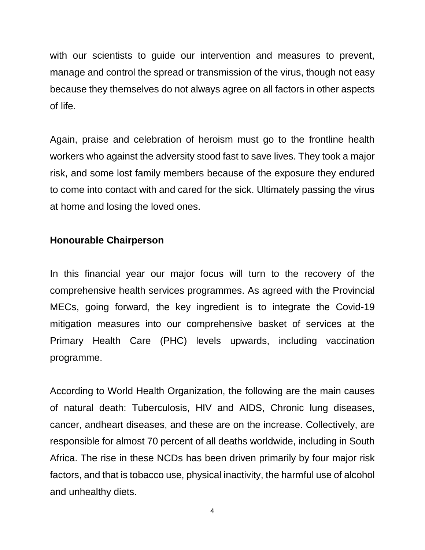with our scientists to guide our intervention and measures to prevent, manage and control the spread or transmission of the virus, though not easy because they themselves do not always agree on all factors in other aspects of life.

Again, praise and celebration of heroism must go to the frontline health workers who against the adversity stood fast to save lives. They took a major risk, and some lost family members because of the exposure they endured to come into contact with and cared for the sick. Ultimately passing the virus at home and losing the loved ones.

### **Honourable Chairperson**

In this financial year our major focus will turn to the recovery of the comprehensive health services programmes. As agreed with the Provincial MECs, going forward, the key ingredient is to integrate the Covid-19 mitigation measures into our comprehensive basket of services at the Primary Health Care (PHC) levels upwards, including vaccination programme.

According to World Health Organization, the following are the main causes of natural death: Tuberculosis, HIV and AIDS, Chronic lung diseases, cancer, andheart diseases, and these are on the increase. Collectively, are responsible for almost 70 percent of all deaths worldwide, including in South Africa. The rise in these NCDs has been driven primarily by four major risk factors, and that is tobacco use, physical inactivity, the harmful use of alcohol and unhealthy diets.

4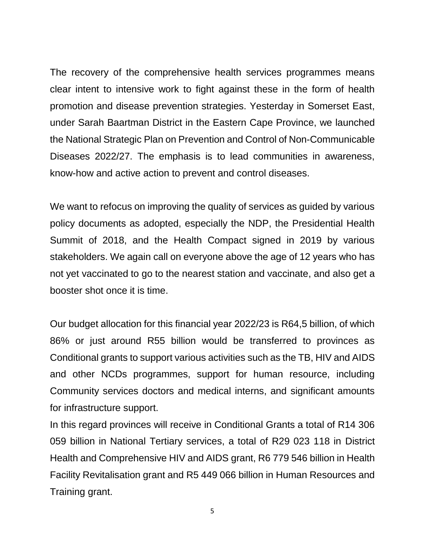The recovery of the comprehensive health services programmes means clear intent to intensive work to fight against these in the form of health promotion and disease prevention strategies. Yesterday in Somerset East, under Sarah Baartman District in the Eastern Cape Province, we launched the National Strategic Plan on Prevention and Control of Non-Communicable Diseases 2022/27. The emphasis is to lead communities in awareness, know-how and active action to prevent and control diseases.

We want to refocus on improving the quality of services as guided by various policy documents as adopted, especially the NDP, the Presidential Health Summit of 2018, and the Health Compact signed in 2019 by various stakeholders. We again call on everyone above the age of 12 years who has not yet vaccinated to go to the nearest station and vaccinate, and also get a booster shot once it is time.

Our budget allocation for this financial year 2022/23 is R64,5 billion, of which 86% or just around R55 billion would be transferred to provinces as Conditional grants to support various activities such as the TB, HIV and AIDS and other NCDs programmes, support for human resource, including Community services doctors and medical interns, and significant amounts for infrastructure support.

In this regard provinces will receive in Conditional Grants a total of R14 306 059 billion in National Tertiary services, a total of R29 023 118 in District Health and Comprehensive HIV and AIDS grant, R6 779 546 billion in Health Facility Revitalisation grant and R5 449 066 billion in Human Resources and Training grant.

5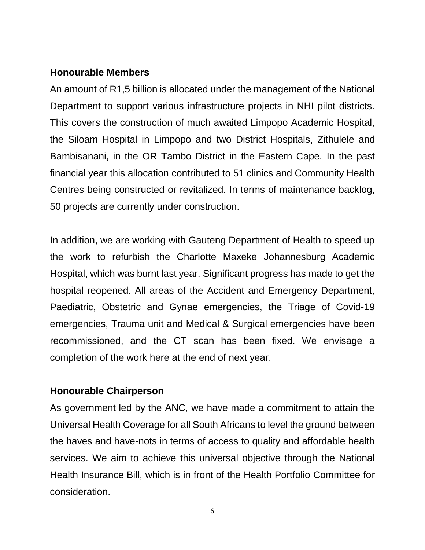#### **Honourable Members**

An amount of R1,5 billion is allocated under the management of the National Department to support various infrastructure projects in NHI pilot districts. This covers the construction of much awaited Limpopo Academic Hospital, the Siloam Hospital in Limpopo and two District Hospitals, Zithulele and Bambisanani, in the OR Tambo District in the Eastern Cape. In the past financial year this allocation contributed to 51 clinics and Community Health Centres being constructed or revitalized. In terms of maintenance backlog, 50 projects are currently under construction.

In addition, we are working with Gauteng Department of Health to speed up the work to refurbish the Charlotte Maxeke Johannesburg Academic Hospital, which was burnt last year. Significant progress has made to get the hospital reopened. All areas of the Accident and Emergency Department, Paediatric, Obstetric and Gynae emergencies, the Triage of Covid-19 emergencies, Trauma unit and Medical & Surgical emergencies have been recommissioned, and the CT scan has been fixed. We envisage a completion of the work here at the end of next year.

#### **Honourable Chairperson**

As government led by the ANC, we have made a commitment to attain the Universal Health Coverage for all South Africans to level the ground between the haves and have-nots in terms of access to quality and affordable health services. We aim to achieve this universal objective through the National Health Insurance Bill, which is in front of the Health Portfolio Committee for consideration.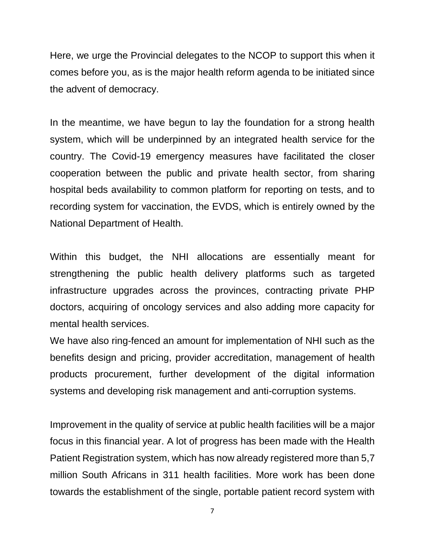Here, we urge the Provincial delegates to the NCOP to support this when it comes before you, as is the major health reform agenda to be initiated since the advent of democracy.

In the meantime, we have begun to lay the foundation for a strong health system, which will be underpinned by an integrated health service for the country. The Covid-19 emergency measures have facilitated the closer cooperation between the public and private health sector, from sharing hospital beds availability to common platform for reporting on tests, and to recording system for vaccination, the EVDS, which is entirely owned by the National Department of Health.

Within this budget, the NHI allocations are essentially meant for strengthening the public health delivery platforms such as targeted infrastructure upgrades across the provinces, contracting private PHP doctors, acquiring of oncology services and also adding more capacity for mental health services.

We have also ring-fenced an amount for implementation of NHI such as the benefits design and pricing, provider accreditation, management of health products procurement, further development of the digital information systems and developing risk management and anti-corruption systems.

Improvement in the quality of service at public health facilities will be a major focus in this financial year. A lot of progress has been made with the Health Patient Registration system, which has now already registered more than 5,7 million South Africans in 311 health facilities. More work has been done towards the establishment of the single, portable patient record system with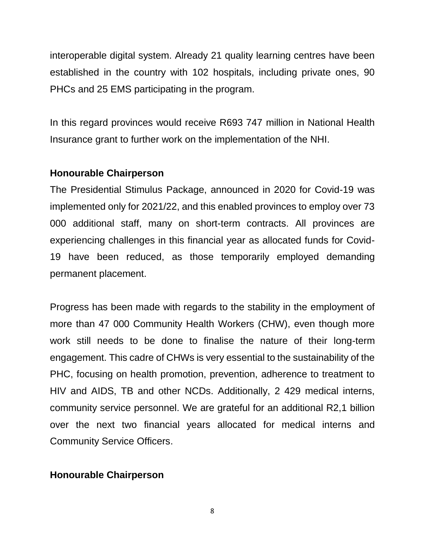interoperable digital system. Already 21 quality learning centres have been established in the country with 102 hospitals, including private ones, 90 PHCs and 25 EMS participating in the program.

In this regard provinces would receive R693 747 million in National Health Insurance grant to further work on the implementation of the NHI.

#### **Honourable Chairperson**

The Presidential Stimulus Package, announced in 2020 for Covid-19 was implemented only for 2021/22, and this enabled provinces to employ over 73 000 additional staff, many on short-term contracts. All provinces are experiencing challenges in this financial year as allocated funds for Covid-19 have been reduced, as those temporarily employed demanding permanent placement.

Progress has been made with regards to the stability in the employment of more than 47 000 Community Health Workers (CHW), even though more work still needs to be done to finalise the nature of their long-term engagement. This cadre of CHWs is very essential to the sustainability of the PHC, focusing on health promotion, prevention, adherence to treatment to HIV and AIDS, TB and other NCDs. Additionally, 2 429 medical interns, community service personnel. We are grateful for an additional R2,1 billion over the next two financial years allocated for medical interns and Community Service Officers.

### **Honourable Chairperson**

8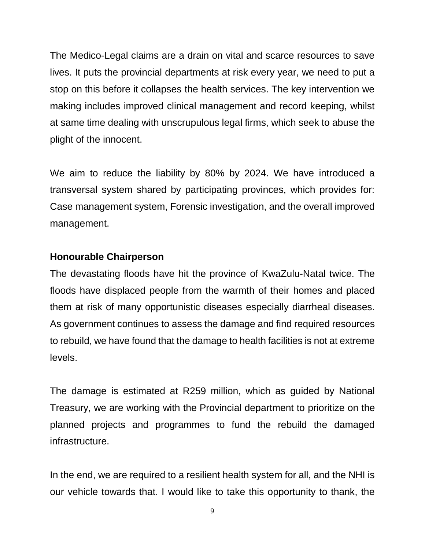The Medico-Legal claims are a drain on vital and scarce resources to save lives. It puts the provincial departments at risk every year, we need to put a stop on this before it collapses the health services. The key intervention we making includes improved clinical management and record keeping, whilst at same time dealing with unscrupulous legal firms, which seek to abuse the plight of the innocent.

We aim to reduce the liability by 80% by 2024. We have introduced a transversal system shared by participating provinces, which provides for: Case management system, Forensic investigation, and the overall improved management.

#### **Honourable Chairperson**

The devastating floods have hit the province of KwaZulu-Natal twice. The floods have displaced people from the warmth of their homes and placed them at risk of many opportunistic diseases especially diarrheal diseases. As government continues to assess the damage and find required resources to rebuild, we have found that the damage to health facilities is not at extreme levels.

The damage is estimated at R259 million, which as guided by National Treasury, we are working with the Provincial department to prioritize on the planned projects and programmes to fund the rebuild the damaged infrastructure.

In the end, we are required to a resilient health system for all, and the NHI is our vehicle towards that. I would like to take this opportunity to thank, the